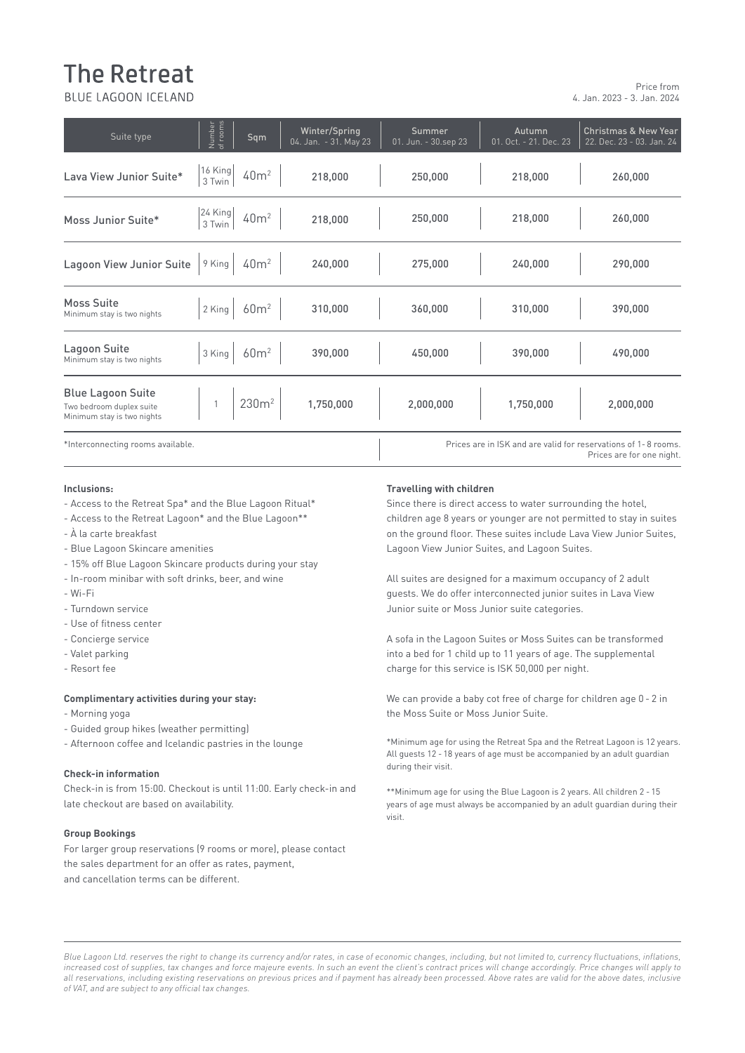# **The Retreat**

BLUE LAGOON ICELAND

| Suite type                                                                         | Number<br>of rooms                                               | Sqm               | Winter/Spring<br>04. Jan. - 31. May 23 | <b>Summer</b><br>01. Jun. - 30.sep 23 | Autumn<br>01. Oct. - 21. Dec. 23 | <b>Christmas &amp; New Year</b><br>22. Dec. 23 - 03. Jan. 24                                |
|------------------------------------------------------------------------------------|------------------------------------------------------------------|-------------------|----------------------------------------|---------------------------------------|----------------------------------|---------------------------------------------------------------------------------------------|
| Lava View Junior Suite*                                                            | 16 King<br>3 Twin                                                | 40m <sup>2</sup>  | 218,000                                | 250,000                               | 218,000                          | 260,000                                                                                     |
| Moss Junior Suite*                                                                 | $\begin{array}{c} 24 \text{ King} \\ 3 \text{ Twin} \end{array}$ | 40m <sup>2</sup>  | 218,000                                | 250,000                               | 218,000                          | 260,000                                                                                     |
| Lagoon View Junior Suite                                                           | 9 King                                                           | 40m <sup>2</sup>  | 240,000                                | 275,000                               | 240,000                          | 290,000                                                                                     |
| Moss Suite<br>Minimum stay is two nights                                           | 2 King                                                           | 60m <sup>2</sup>  | 310,000                                | 360,000                               | 310,000                          | 390,000                                                                                     |
| Lagoon Suite<br>Minimum stay is two nights                                         | 3 King                                                           | 60m <sup>2</sup>  | 390,000                                | 450,000                               | 390,000                          | 490,000                                                                                     |
| <b>Blue Lagoon Suite</b><br>Two bedroom duplex suite<br>Minimum stay is two nights |                                                                  | 230m <sup>2</sup> | 1,750,000                              | 2,000,000                             | 1,750,000                        | 2,000,000                                                                                   |
| *Interconnecting rooms available.                                                  |                                                                  |                   |                                        |                                       |                                  | Prices are in ISK and are valid for reservations of 1-8 rooms.<br>Prices are for one night. |

## -Wi-Fi **Inclusions:**

- Access to the Retreat Spa\* and the Blue Lagoon Ritual\*
- Access to the Retreat Lagoon\* and the Blue Lagoon\*\*
- À la carte breakfast
- Blue Lagoon Skincare amenities

-Breakfast (served 07:30 - 10:30)

- 15% off Blue Lagoon Skincare products during your stay
- admission to Retreat Section to Retreat Spa for Section 1990 (offer unit 15.06.20).<br>All quite any miniban with a fit drinks have and wine. - In-room minibar with soft drinks, beer, and wine
- Wi-Fi
- Turndown service
- - Use of fitness center
- Concierge service
- Valet parking. The views of the views of the views of the views of the views of the views of the views of the views of the views of the views of the views of the views of the views of the views of the views of the views
- Resort fee

#### **Complimentary activities during your stay:**

- Morning yoga
- Guided group hikes (weather permitting)
- Afternoon coffee and Icelandic pastries in the lounge

Check-in is from 15:00. Checkout is until 11:00. Early check-in and \*\*\*Minimum ane for using late checkout are based on availability.

#### **Check-in nformation Group Bookings**

**Tax Information** 

For larger group reservations (9 rooms or more), please contact and cancellation terms can be different. the sales department for an offer as rates, payment,

#### **Travelling with children**

Since there is direct access to water surrounding the hotel, children age 8 years or younger are not permitted to stay in suites on the ground floor. These suites include Lava View Junior Suites, Lagoon View Junior Suites, and Lagoon Suites.

All suites are designed for a maximum occupancy of 2 adult guests. We do offer interconnected junior suites in Lava View Junior suite or Moss Junior suite categories.

- Concierge service and warm, Mountain Deluxe rooms harmonize with the Lagoon Suites or Moss Suites can be transformed into a bed for 1 child up to 11 years of age. The supplemental charge for this service is ISK 50,000 per night.

Complimentary activities during your stay: The most common the can provide a baby cot free of charge for children age 0 - 2 in - Morning yoga **Deluxe room is a place of the Blue Lava Deluxe room is a place room in the Moss Suite or Moss Junior Suite.** 

**Check-in information** and subsequent of modern simplicity and subsequently simplicate rooms are relaxing to the subsequently simplicate rooms are relaxing to the subsequently simplicate rooms are relaxing to the subsequen \*Minimum age for using the Retreat Spa and the Retreat Lagoon is 12 years. All guests 12 - 18 years of age must be accompanied by an adult guardian during their visit.

> \*\*Minimum age for using the Blue Lagoon is 2 years. All children 2 - 15 years of age must always be accompanied by an adult guardian during their visit.

Blue Lagoon Ltd. reserves the right to change its currency and/or rates, in case of economic changes, including, but not limited to, currency fluctuations, inflations, increased cost of supplies, tax changes and force majeure events. In such an event the client's contract prices will change accordingly. Price changes will apply to of VAT, and are subject to any official tax changes. *all reservations, including existing reservations on previous prices and if payment has already been processed. Above rates are valid for the above dates, inclusive*